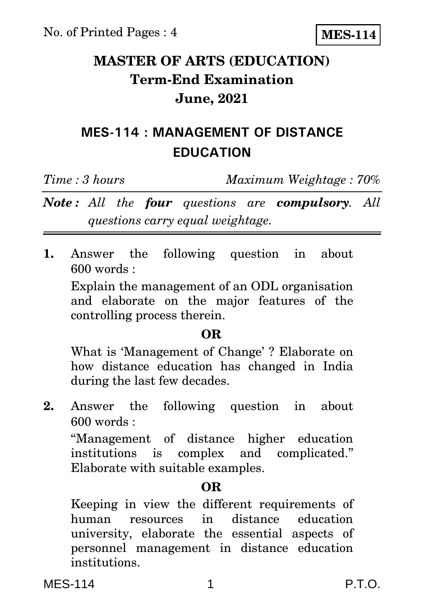**MES-114**

# **MASTER OF ARTS (EDUCATION) Term-End Examination June, 2021**

# **MES-114 : MANAGEMENT OF DISTANCE EDUCATION**

*Time : 3 hours Maximum Weightage : 70%*

*Note : All the four questions are compulsory. All questions carry equal weightage.*

**1.** Answer the following question in about 600 words :

Explain the management of an ODL organisation and elaborate on the major features of the controlling process therein.

#### **OR**

What is 'Management of Change' ? Elaborate on how distance education has changed in India during the last few decades.

**2.** Answer the following question in about 600 words :

''Management of distance higher education institutions is complex and complicated.'' Elaborate with suitable examples.

### **OR**

Keeping in view the different requirements of human resources in distance education university, elaborate the essential aspects of personnel management in distance education institutions.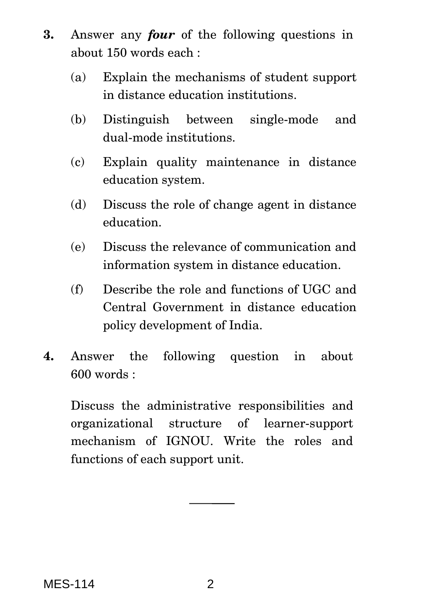- **3.** Answer any *four* of the following questions in about 150 words each :
	- (a) Explain the mechanisms of student support in distance education institutions.
	- (b) Distinguish between single-mode and dual-mode institutions.
	- (c) Explain quality maintenance in distance education system.
	- (d) Discuss the role of change agent in distance education.
	- (e) Discuss the relevance of communication and information system in distance education.
	- (f) Describe the role and functions of UGC and Central Government in distance education policy development of India.
- **4.** Answer the following question in about 600 words :

Discuss the administrative responsibilities and organizational structure of learner-support mechanism of IGNOU. Write the roles and functions of each support unit.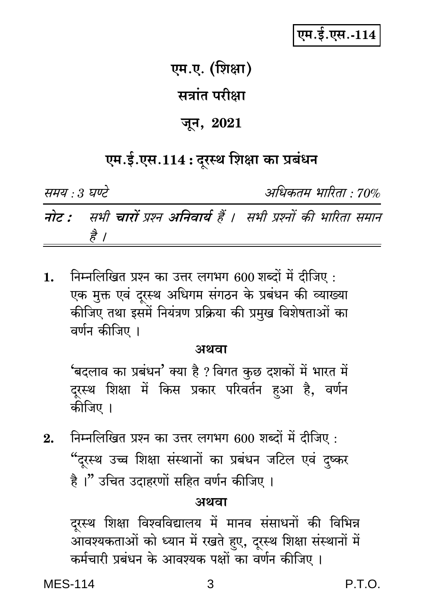# एम.ई.एस.-114

### एम.ए. (शिक्षा)

### सत्रांत परीक्षा

### जून, 2021

## एम.ई.एस.114 : दूरस्थ शिक्षा का प्रबंधन

समय : 3 घण्टे

अधिकतम भारिता : 70%

नोट : सभी चारों प्रश्न अनिवार्य हैं । सभी प्रश्नों की भारिता समान है ।

निम्नलिखित प्रश्न का उत्तर लगभग 600 शब्दों में दीजिए :  $1.$ एक मुक्त एवं दूरस्थ अधिगम संगठन के प्रबंधन की व्याख्या कीजिए तथा इसमें नियंत्रण प्रक्रिया की प्रमुख विशेषताओं का वर्णन कीजिए ।

#### अथवा

'बदलाव का प्रबंधन' क्या है ? विगत कुछ दशकों में भारत में दूरस्थ शिक्षा में किस प्रकार परिवर्तन हुआ है, वर्णन कीजिए ।

निम्नलिखित प्रश्न का उत्तर लगभग 600 शब्दों में दीजिए :  $2.$ "दूरस्थ उच्च शिक्षा संस्थानों का प्रबंधन जटिल एवं दुष्कर है ।" उचित उदाहरणों सहित वर्णन कीजिए ।

#### अथवा

दूरस्थ शिक्षा विश्वविद्यालय में मानव संसाधनों की विभिन्न आवश्यकताओं को ध्यान में रखते हुए, दूरस्थ शिक्षा संस्थानों में कर्मचारी प्रबंधन के आवश्यक पक्षों का वर्णन कीजिए ।